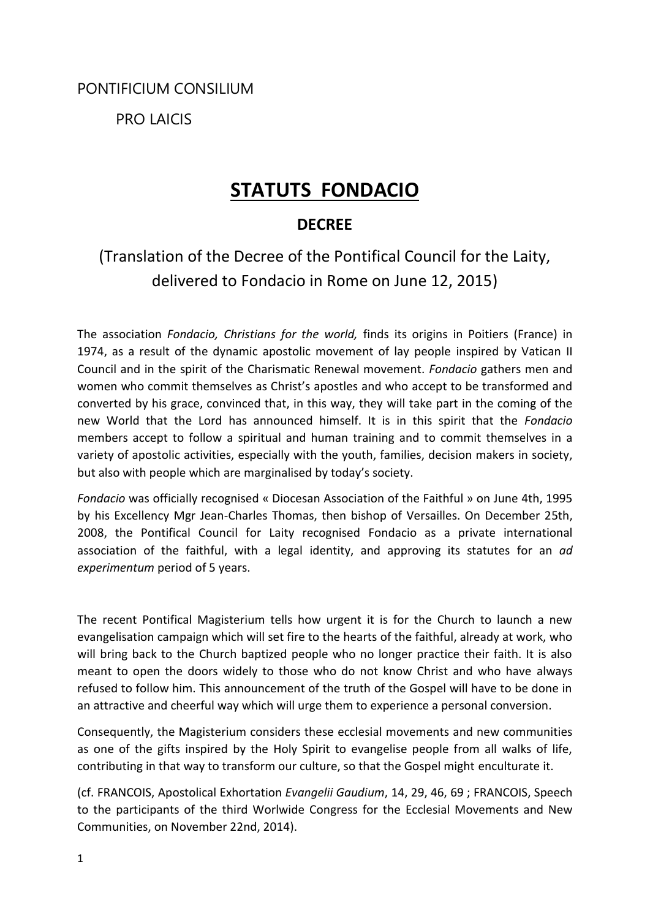PONTIFICIUM CONSILIUM

PRO LAICIS

# **STATUTS FONDACIO**

### **DECREE**

# (Translation of the Decree of the Pontifical Council for the Laity, delivered to Fondacio in Rome on June 12, 2015)

The association *Fondacio, Christians for the world,* finds its origins in Poitiers (France) in 1974, as a result of the dynamic apostolic movement of lay people inspired by Vatican II Council and in the spirit of the Charismatic Renewal movement. *Fondacio* gathers men and women who commit themselves as Christ's apostles and who accept to be transformed and converted by his grace, convinced that, in this way, they will take part in the coming of the new World that the Lord has announced himself. It is in this spirit that the *Fondacio* members accept to follow a spiritual and human training and to commit themselves in a variety of apostolic activities, especially with the youth, families, decision makers in society, but also with people which are marginalised by today's society.

*Fondacio* was officially recognised « Diocesan Association of the Faithful » on June 4th, 1995 by his Excellency Mgr Jean-Charles Thomas, then bishop of Versailles. On December 25th, 2008, the Pontifical Council for Laity recognised Fondacio as a private international association of the faithful, with a legal identity, and approving its statutes for an *ad experimentum* period of 5 years.

The recent Pontifical Magisterium tells how urgent it is for the Church to launch a new evangelisation campaign which will set fire to the hearts of the faithful, already at work, who will bring back to the Church baptized people who no longer practice their faith. It is also meant to open the doors widely to those who do not know Christ and who have always refused to follow him. This announcement of the truth of the Gospel will have to be done in an attractive and cheerful way which will urge them to experience a personal conversion.

Consequently, the Magisterium considers these ecclesial movements and new communities as one of the gifts inspired by the Holy Spirit to evangelise people from all walks of life, contributing in that way to transform our culture, so that the Gospel might enculturate it.

(cf. FRANCOIS, Apostolical Exhortation *Evangelii Gaudium*, 14, 29, 46, 69 ; FRANCOIS, Speech to the participants of the third Worlwide Congress for the Ecclesial Movements and New Communities, on November 22nd, 2014).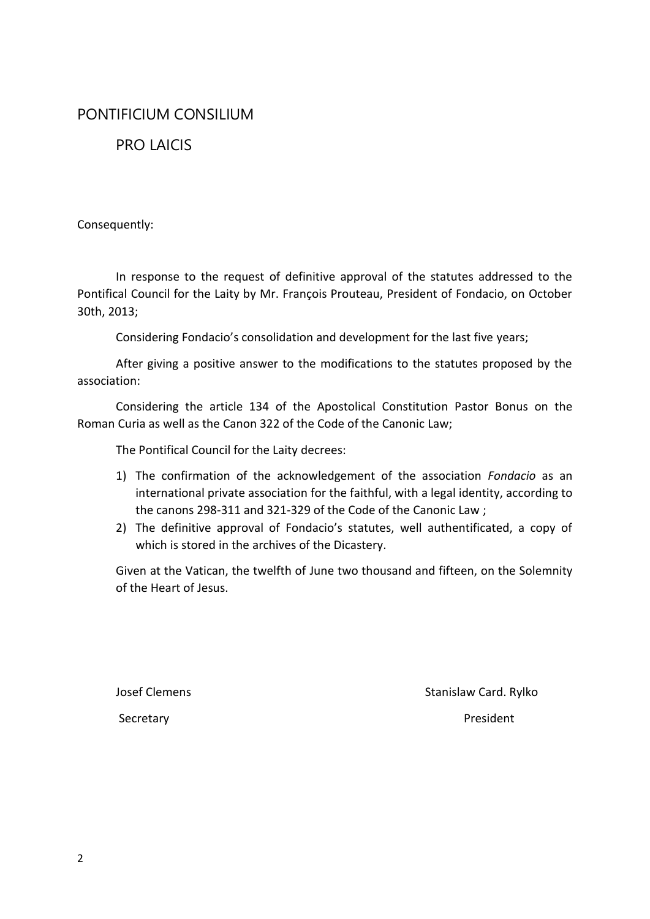### PONTIFICIUM CONSILIUM

### PRO LAICIS

Consequently:

In response to the request of definitive approval of the statutes addressed to the Pontifical Council for the Laity by Mr. François Prouteau, President of Fondacio, on October 30th, 2013;

Considering Fondacio's consolidation and development for the last five years;

After giving a positive answer to the modifications to the statutes proposed by the association:

Considering the article 134 of the Apostolical Constitution Pastor Bonus on the Roman Curia as well as the Canon 322 of the Code of the Canonic Law;

The Pontifical Council for the Laity decrees:

- 1) The confirmation of the acknowledgement of the association *Fondacio* as an international private association for the faithful, with a legal identity, according to the canons 298-311 and 321-329 of the Code of the Canonic Law ;
- 2) The definitive approval of Fondacio's statutes, well authentificated, a copy of which is stored in the archives of the Dicastery.

Given at the Vatican, the twelfth of June two thousand and fifteen, on the Solemnity of the Heart of Jesus.

Josef Clemens **Stanislaw Card. Rylko** Stanislaw Card. Rylko

Secretary **President**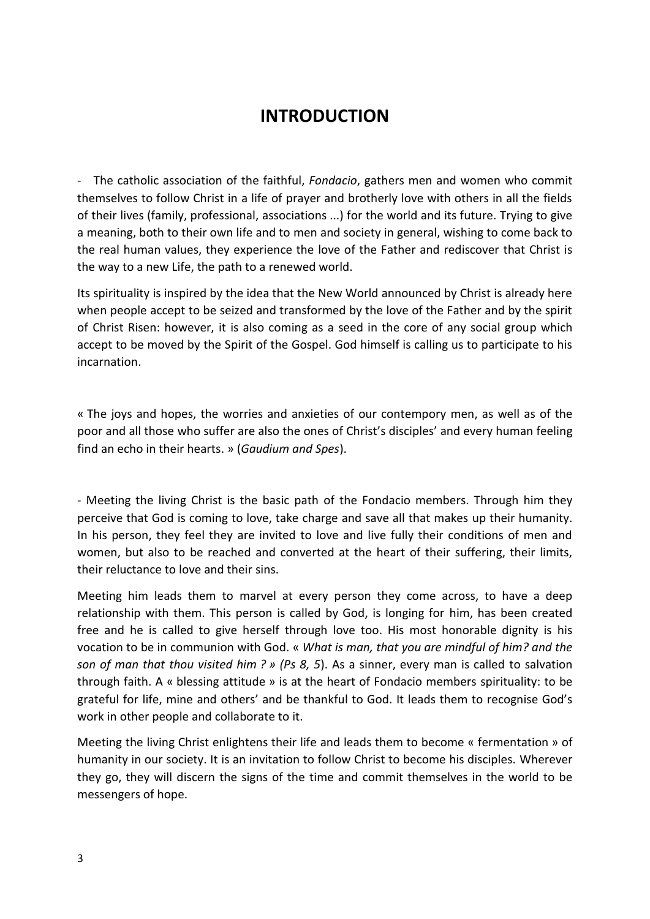# **INTRODUCTION**

- The catholic association of the faithful, *Fondacio*, gathers men and women who commit themselves to follow Christ in a life of prayer and brotherly love with others in all the fields of their lives (family, professional, associations ...) for the world and its future. Trying to give a meaning, both to their own life and to men and society in general, wishing to come back to the real human values, they experience the love of the Father and rediscover that Christ is the way to a new Life, the path to a renewed world.

Its spirituality is inspired by the idea that the New World announced by Christ is already here when people accept to be seized and transformed by the love of the Father and by the spirit of Christ Risen: however, it is also coming as a seed in the core of any social group which accept to be moved by the Spirit of the Gospel. God himself is calling us to participate to his incarnation.

« The joys and hopes, the worries and anxieties of our contempory men, as well as of the poor and all those who suffer are also the ones of Christ's disciples' and every human feeling find an echo in their hearts. » (*Gaudium and Spes*).

- Meeting the living Christ is the basic path of the Fondacio members. Through him they perceive that God is coming to love, take charge and save all that makes up their humanity. In his person, they feel they are invited to love and live fully their conditions of men and women, but also to be reached and converted at the heart of their suffering, their limits, their reluctance to love and their sins.

Meeting him leads them to marvel at every person they come across, to have a deep relationship with them. This person is called by God, is longing for him, has been created free and he is called to give herself through love too. His most honorable dignity is his vocation to be in communion with God. « *What is man, that you are mindful of him? and the son of man that thou visited him ? » (Ps 8, 5*). As a sinner, every man is called to salvation through faith. A « blessing attitude » is at the heart of Fondacio members spirituality: to be grateful for life, mine and others' and be thankful to God. It leads them to recognise God's work in other people and collaborate to it.

Meeting the living Christ enlightens their life and leads them to become « fermentation » of humanity in our society. It is an invitation to follow Christ to become his disciples. Wherever they go, they will discern the signs of the time and commit themselves in the world to be messengers of hope.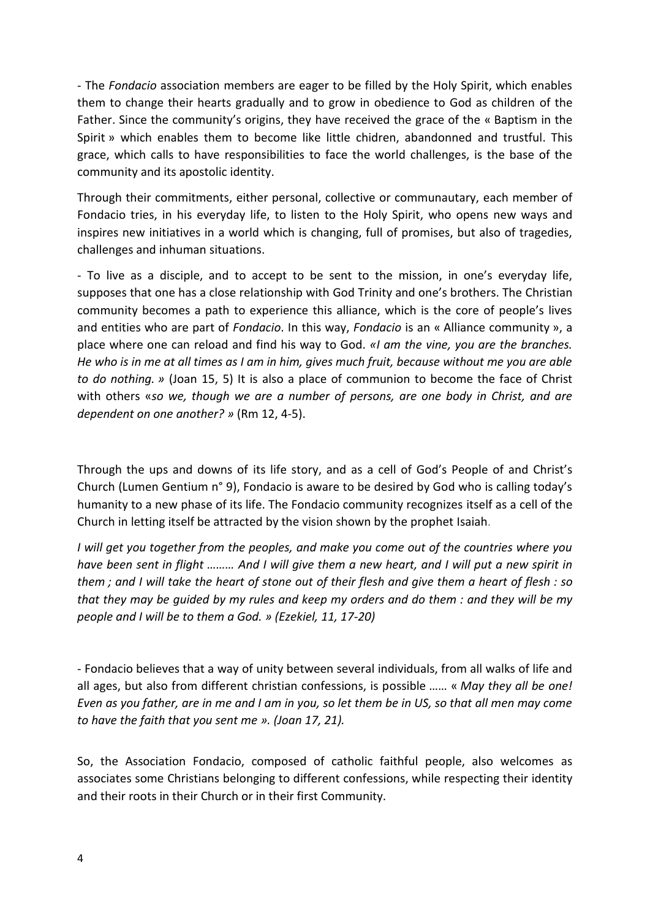- The *Fondacio* association members are eager to be filled by the Holy Spirit, which enables them to change their hearts gradually and to grow in obedience to God as children of the Father. Since the community's origins, they have received the grace of the « Baptism in the Spirit » which enables them to become like little chidren, abandonned and trustful. This grace, which calls to have responsibilities to face the world challenges, is the base of the community and its apostolic identity.

Through their commitments, either personal, collective or communautary, each member of Fondacio tries, in his everyday life, to listen to the Holy Spirit, who opens new ways and inspires new initiatives in a world which is changing, full of promises, but also of tragedies, challenges and inhuman situations.

- To live as a disciple, and to accept to be sent to the mission, in one's everyday life, supposes that one has a close relationship with God Trinity and one's brothers. The Christian community becomes a path to experience this alliance, which is the core of people's lives and entities who are part of *Fondacio*. In this way, *Fondacio* is an « Alliance community », a place where one can reload and find his way to God. *«I am the vine, you are the branches. He who is in me at all times as I am in him, gives much fruit, because without me you are able to do nothing. »* (Joan 15, 5) It is also a place of communion to become the face of Christ with others «*so we, though we are a number of persons, are one body in Christ, and are dependent on one another? »* (Rm 12, 4-5).

Through the ups and downs of its life story, and as a cell of God's People of and Christ's Church (Lumen Gentium n° 9), Fondacio is aware to be desired by God who is calling today's humanity to a new phase of its life. The Fondacio community recognizes itself as a cell of the Church in letting itself be attracted by the vision shown by the prophet Isaiah.

*I will get you together from the peoples, and make you come out of the countries where you have been sent in flight ……… And I will give them a new heart, and I will put a new spirit in them ; and I will take the heart of stone out of their flesh and give them a heart of flesh : so that they may be guided by my rules and keep my orders and do them : and they will be my people and I will be to them a God. » (Ezekiel, 11, 17-20)*

- Fondacio believes that a way of unity between several individuals, from all walks of life and all ages, but also from different christian confessions, is possible …… « *May they all be one! Even as you father, are in me and I am in you, so let them be in US, so that all men may come to have the faith that you sent me ». (Joan 17, 21).*

So, the Association Fondacio, composed of catholic faithful people, also welcomes as associates some Christians belonging to different confessions, while respecting their identity and their roots in their Church or in their first Community.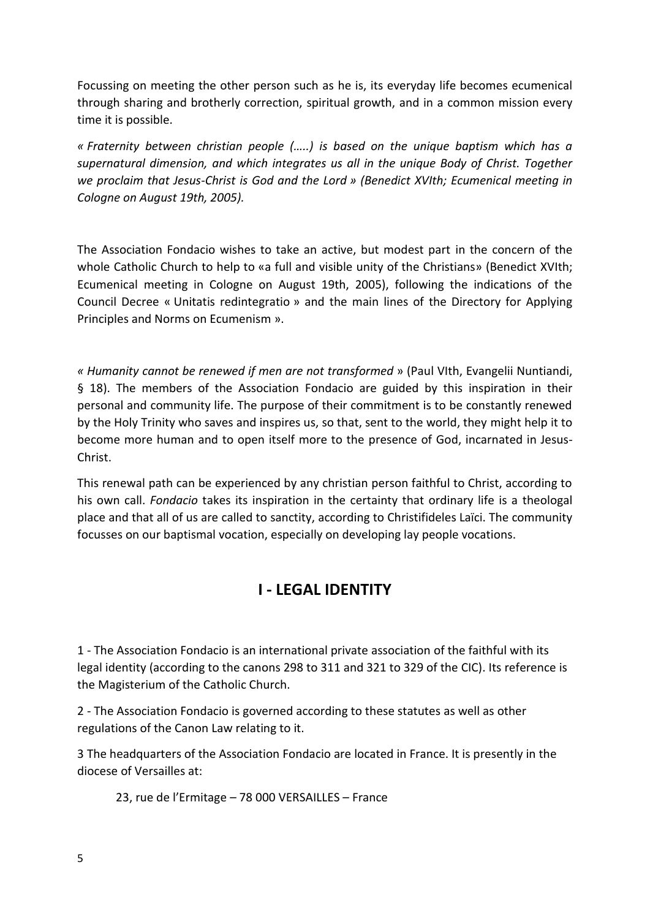Focussing on meeting the other person such as he is, its everyday life becomes ecumenical through sharing and brotherly correction, spiritual growth, and in a common mission every time it is possible.

*« Fraternity between christian people (…..) is based on the unique baptism which has a supernatural dimension, and which integrates us all in the unique Body of Christ. Together we proclaim that Jesus-Christ is God and the Lord » (Benedict XVIth; Ecumenical meeting in Cologne on August 19th, 2005).*

The Association Fondacio wishes to take an active, but modest part in the concern of the whole Catholic Church to help to «a full and visible unity of the Christians» (Benedict XVIth; Ecumenical meeting in Cologne on August 19th, 2005), following the indications of the Council Decree « Unitatis redintegratio » and the main lines of the Directory for Applying Principles and Norms on Ecumenism ».

*« Humanity cannot be renewed if men are not transformed* » (Paul VIth, Evangelii Nuntiandi, § 18). The members of the Association Fondacio are guided by this inspiration in their personal and community life. The purpose of their commitment is to be constantly renewed by the Holy Trinity who saves and inspires us, so that, sent to the world, they might help it to become more human and to open itself more to the presence of God, incarnated in Jesus-Christ.

This renewal path can be experienced by any christian person faithful to Christ, according to his own call. *Fondacio* takes its inspiration in the certainty that ordinary life is a theologal place and that all of us are called to sanctity, according to Christifideles Laïci. The community focusses on our baptismal vocation, especially on developing lay people vocations.

### **I - LEGAL IDENTITY**

1 - The Association Fondacio is an international private association of the faithful with its legal identity (according to the canons 298 to 311 and 321 to 329 of the CIC). Its reference is the Magisterium of the Catholic Church.

2 - The Association Fondacio is governed according to these statutes as well as other regulations of the Canon Law relating to it.

3 The headquarters of the Association Fondacio are located in France. It is presently in the diocese of Versailles at:

23, rue de l'Ermitage – 78 000 VERSAILLES – France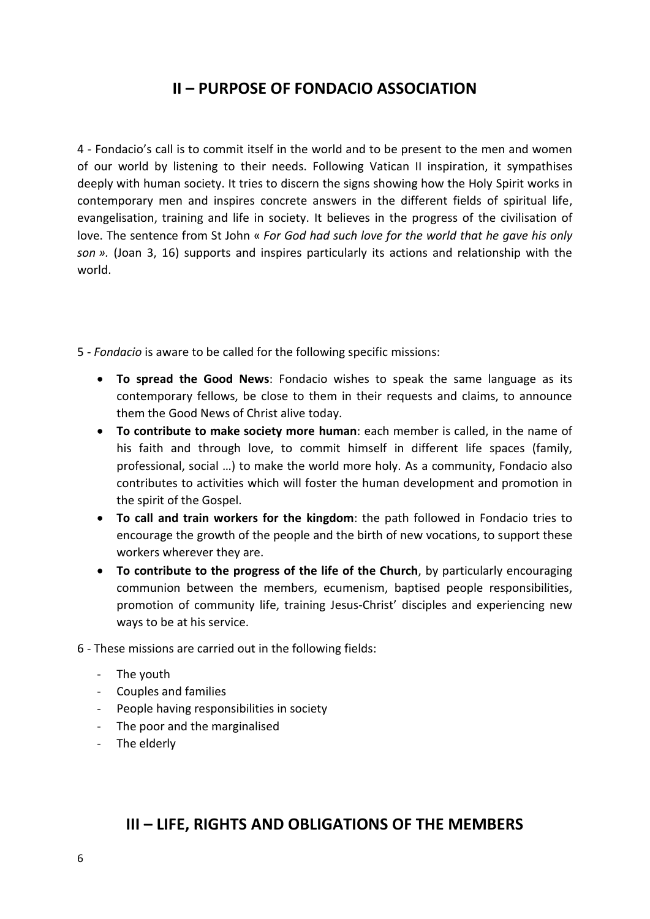### **II – PURPOSE OF FONDACIO ASSOCIATION**

4 - Fondacio's call is to commit itself in the world and to be present to the men and women of our world by listening to their needs. Following Vatican II inspiration, it sympathises deeply with human society. It tries to discern the signs showing how the Holy Spirit works in contemporary men and inspires concrete answers in the different fields of spiritual life, evangelisation, training and life in society. It believes in the progress of the civilisation of love. The sentence from St John « *For God had such love for the world that he gave his only son ».* (Joan 3, 16) supports and inspires particularly its actions and relationship with the world.

5 - *Fondacio* is aware to be called for the following specific missions:

- **To spread the Good News**: Fondacio wishes to speak the same language as its contemporary fellows, be close to them in their requests and claims, to announce them the Good News of Christ alive today.
- **To contribute to make society more human**: each member is called, in the name of his faith and through love, to commit himself in different life spaces (family, professional, social …) to make the world more holy. As a community, Fondacio also contributes to activities which will foster the human development and promotion in the spirit of the Gospel.
- **To call and train workers for the kingdom**: the path followed in Fondacio tries to encourage the growth of the people and the birth of new vocations, to support these workers wherever they are.
- **To contribute to the progress of the life of the Church**, by particularly encouraging communion between the members, ecumenism, baptised people responsibilities, promotion of community life, training Jesus-Christ' disciples and experiencing new ways to be at his service.
- 6 These missions are carried out in the following fields:
	- The youth
	- Couples and families
	- People having responsibilities in society
	- The poor and the marginalised
	- The elderly

### **III – LIFE, RIGHTS AND OBLIGATIONS OF THE MEMBERS**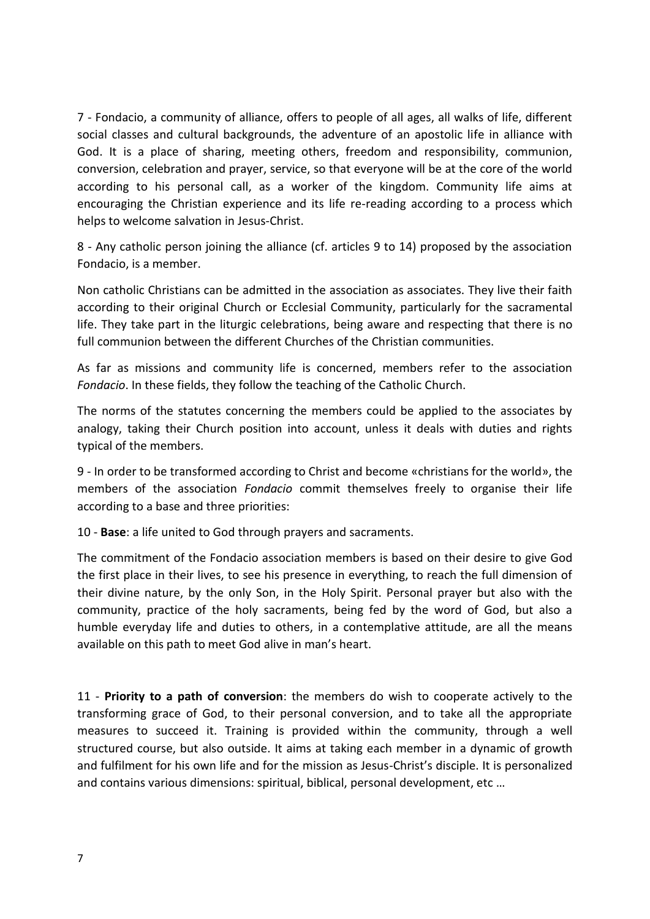7 - Fondacio, a community of alliance, offers to people of all ages, all walks of life, different social classes and cultural backgrounds, the adventure of an apostolic life in alliance with God. It is a place of sharing, meeting others, freedom and responsibility, communion, conversion, celebration and prayer, service, so that everyone will be at the core of the world according to his personal call, as a worker of the kingdom. Community life aims at encouraging the Christian experience and its life re-reading according to a process which helps to welcome salvation in Jesus-Christ.

8 - Any catholic person joining the alliance (cf. articles 9 to 14) proposed by the association Fondacio, is a member.

Non catholic Christians can be admitted in the association as associates. They live their faith according to their original Church or Ecclesial Community, particularly for the sacramental life. They take part in the liturgic celebrations, being aware and respecting that there is no full communion between the different Churches of the Christian communities.

As far as missions and community life is concerned, members refer to the association *Fondacio*. In these fields, they follow the teaching of the Catholic Church.

The norms of the statutes concerning the members could be applied to the associates by analogy, taking their Church position into account, unless it deals with duties and rights typical of the members.

9 - In order to be transformed according to Christ and become «christians for the world», the members of the association *Fondacio* commit themselves freely to organise their life according to a base and three priorities:

10 - **Base**: a life united to God through prayers and sacraments.

The commitment of the Fondacio association members is based on their desire to give God the first place in their lives, to see his presence in everything, to reach the full dimension of their divine nature, by the only Son, in the Holy Spirit. Personal prayer but also with the community, practice of the holy sacraments, being fed by the word of God, but also a humble everyday life and duties to others, in a contemplative attitude, are all the means available on this path to meet God alive in man's heart.

11 - **Priority to a path of conversion**: the members do wish to cooperate actively to the transforming grace of God, to their personal conversion, and to take all the appropriate measures to succeed it. Training is provided within the community, through a well structured course, but also outside. It aims at taking each member in a dynamic of growth and fulfilment for his own life and for the mission as Jesus-Christ's disciple. It is personalized and contains various dimensions: spiritual, biblical, personal development, etc …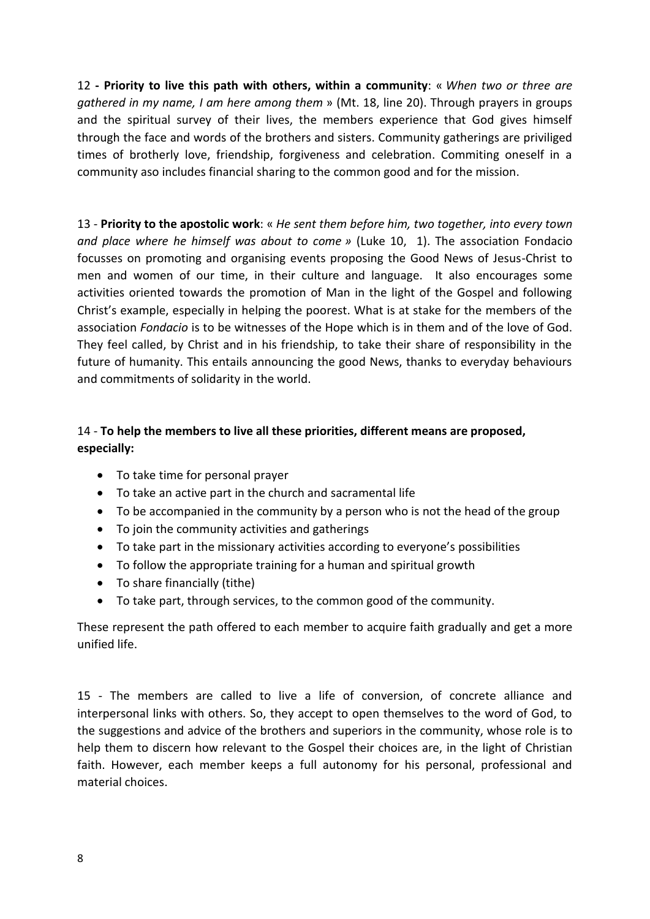12 **- Priority to live this path with others, within a community**: « *When two or three are gathered in my name, I am here among them* » (Mt. 18, line 20). Through prayers in groups and the spiritual survey of their lives, the members experience that God gives himself through the face and words of the brothers and sisters. Community gatherings are priviliged times of brotherly love, friendship, forgiveness and celebration. Commiting oneself in a community aso includes financial sharing to the common good and for the mission.

13 - **Priority to the apostolic work**: « *He sent them before him, two together, into every town and place where he himself was about to come »* (Luke 10, 1). The association Fondacio focusses on promoting and organising events proposing the Good News of Jesus-Christ to men and women of our time, in their culture and language. It also encourages some activities oriented towards the promotion of Man in the light of the Gospel and following Christ's example, especially in helping the poorest. What is at stake for the members of the association *Fondacio* is to be witnesses of the Hope which is in them and of the love of God. They feel called, by Christ and in his friendship, to take their share of responsibility in the future of humanity. This entails announcing the good News, thanks to everyday behaviours and commitments of solidarity in the world.

### 14 - **To help the members to live all these priorities, different means are proposed, especially:**

- To take time for personal prayer
- To take an active part in the church and sacramental life
- To be accompanied in the community by a person who is not the head of the group
- To join the community activities and gatherings
- To take part in the missionary activities according to everyone's possibilities
- To follow the appropriate training for a human and spiritual growth
- To share financially (tithe)
- To take part, through services, to the common good of the community.

These represent the path offered to each member to acquire faith gradually and get a more unified life.

15 - The members are called to live a life of conversion, of concrete alliance and interpersonal links with others. So, they accept to open themselves to the word of God, to the suggestions and advice of the brothers and superiors in the community, whose role is to help them to discern how relevant to the Gospel their choices are, in the light of Christian faith. However, each member keeps a full autonomy for his personal, professional and material choices.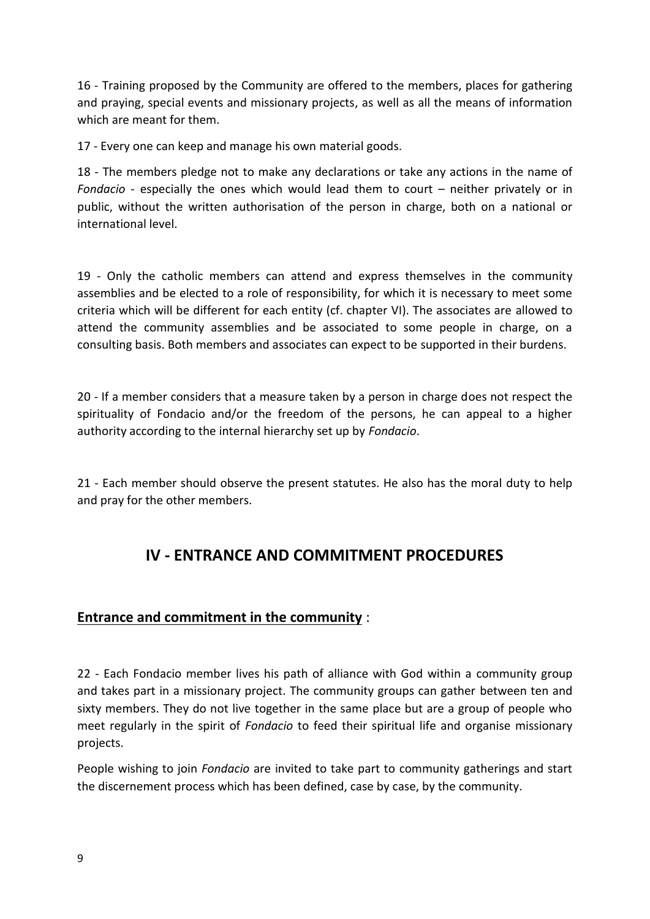16 - Training proposed by the Community are offered to the members, places for gathering and praying, special events and missionary projects, as well as all the means of information which are meant for them.

17 - Every one can keep and manage his own material goods.

18 - The members pledge not to make any declarations or take any actions in the name of *Fondacio* - especially the ones which would lead them to court – neither privately or in public, without the written authorisation of the person in charge, both on a national or international level.

19 - Only the catholic members can attend and express themselves in the community assemblies and be elected to a role of responsibility, for which it is necessary to meet some criteria which will be different for each entity (cf. chapter VI). The associates are allowed to attend the community assemblies and be associated to some people in charge, on a consulting basis. Both members and associates can expect to be supported in their burdens.

20 - If a member considers that a measure taken by a person in charge does not respect the spirituality of Fondacio and/or the freedom of the persons, he can appeal to a higher authority according to the internal hierarchy set up by *Fondacio*.

21 - Each member should observe the present statutes. He also has the moral duty to help and pray for the other members.

### **IV - ENTRANCE AND COMMITMENT PROCEDURES**

### **Entrance and commitment in the community** :

22 - Each Fondacio member lives his path of alliance with God within a community group and takes part in a missionary project. The community groups can gather between ten and sixty members. They do not live together in the same place but are a group of people who meet regularly in the spirit of *Fondacio* to feed their spiritual life and organise missionary projects.

People wishing to join *Fondacio* are invited to take part to community gatherings and start the discernement process which has been defined, case by case, by the community.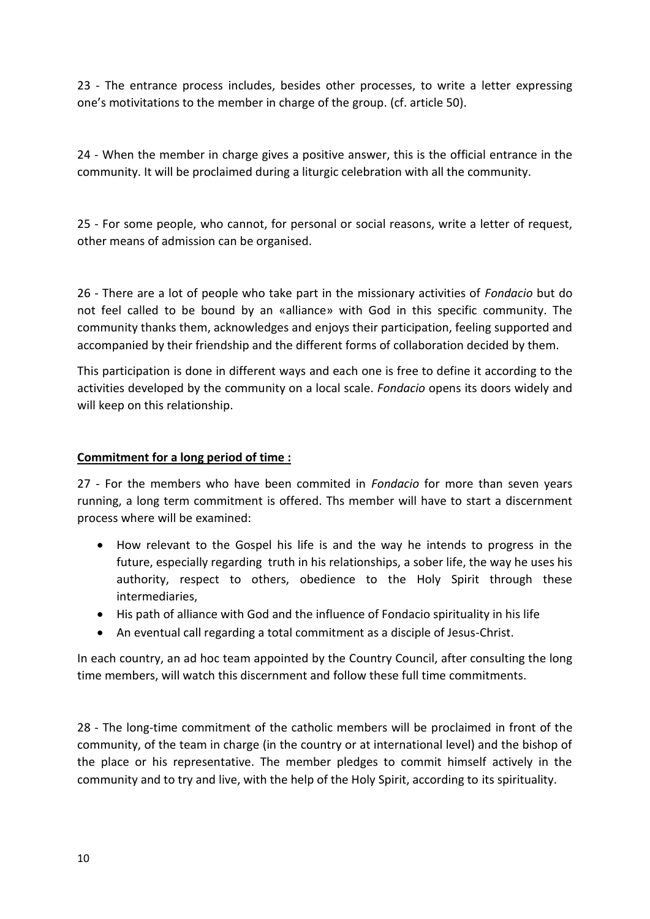23 - The entrance process includes, besides other processes, to write a letter expressing one's motivitations to the member in charge of the group. (cf. article 50).

24 - When the member in charge gives a positive answer, this is the official entrance in the community. It will be proclaimed during a liturgic celebration with all the community.

25 - For some people, who cannot, for personal or social reasons, write a letter of request, other means of admission can be organised.

26 - There are a lot of people who take part in the missionary activities of *Fondacio* but do not feel called to be bound by an «alliance» with God in this specific community. The community thanks them, acknowledges and enjoys their participation, feeling supported and accompanied by their friendship and the different forms of collaboration decided by them.

This participation is done in different ways and each one is free to define it according to the activities developed by the community on a local scale. *Fondacio* opens its doors widely and will keep on this relationship.

#### **Commitment for a long period of time :**

27 - For the members who have been commited in *Fondacio* for more than seven years running, a long term commitment is offered. Ths member will have to start a discernment process where will be examined:

- How relevant to the Gospel his life is and the way he intends to progress in the future, especially regarding truth in his relationships, a sober life, the way he uses his authority, respect to others, obedience to the Holy Spirit through these intermediaries,
- His path of alliance with God and the influence of Fondacio spirituality in his life
- An eventual call regarding a total commitment as a disciple of Jesus-Christ.

In each country, an ad hoc team appointed by the Country Council, after consulting the long time members, will watch this discernment and follow these full time commitments.

28 - The long-time commitment of the catholic members will be proclaimed in front of the community, of the team in charge (in the country or at international level) and the bishop of the place or his representative. The member pledges to commit himself actively in the community and to try and live, with the help of the Holy Spirit, according to its spirituality.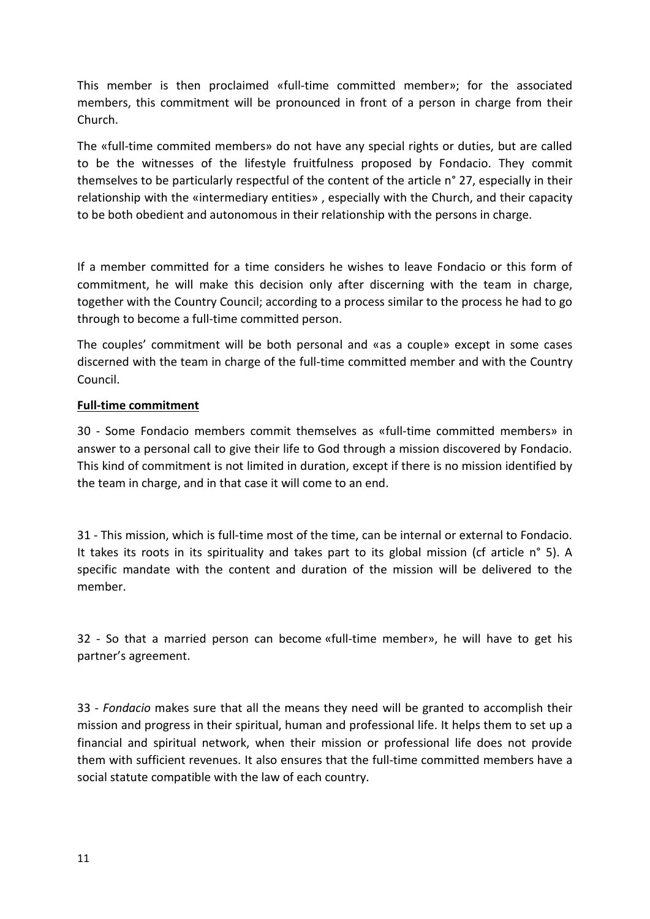This member is then proclaimed «full-time committed member»; for the associated members, this commitment will be pronounced in front of a person in charge from their Church.

The «full-time commited members» do not have any special rights or duties, but are called to be the witnesses of the lifestyle fruitfulness proposed by Fondacio. They commit themselves to be particularly respectful of the content of the article n° 27, especially in their relationship with the «intermediary entities» , especially with the Church, and their capacity to be both obedient and autonomous in their relationship with the persons in charge.

If a member committed for a time considers he wishes to leave Fondacio or this form of commitment, he will make this decision only after discerning with the team in charge, together with the Country Council; according to a process similar to the process he had to go through to become a full-time committed person.

The couples' commitment will be both personal and «as a couple» except in some cases discerned with the team in charge of the full-time committed member and with the Country Council.

#### **Full-time commitment**

30 - Some Fondacio members commit themselves as «full-time committed members» in answer to a personal call to give their life to God through a mission discovered by Fondacio. This kind of commitment is not limited in duration, except if there is no mission identified by the team in charge, and in that case it will come to an end.

31 - This mission, which is full-time most of the time, can be internal or external to Fondacio. It takes its roots in its spirituality and takes part to its global mission (cf article n° 5). A specific mandate with the content and duration of the mission will be delivered to the member.

32 - So that a married person can become «full-time member», he will have to get his partner's agreement.

33 - *Fondacio* makes sure that all the means they need will be granted to accomplish their mission and progress in their spiritual, human and professional life. It helps them to set up a financial and spiritual network, when their mission or professional life does not provide them with sufficient revenues. It also ensures that the full-time committed members have a social statute compatible with the law of each country.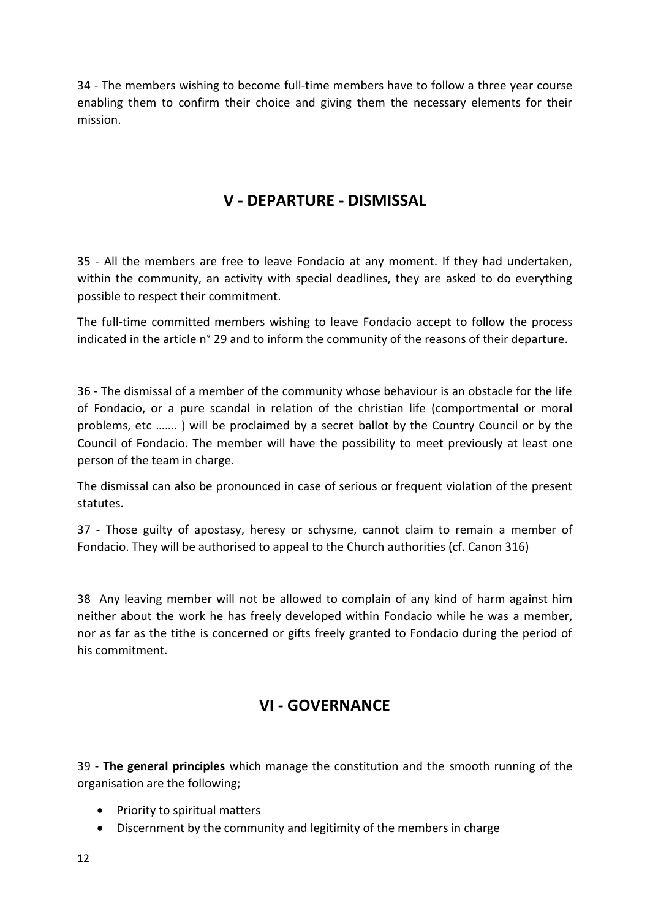34 - The members wishing to become full-time members have to follow a three year course enabling them to confirm their choice and giving them the necessary elements for their mission.

### **V - DEPARTURE - DISMISSAL**

35 - All the members are free to leave Fondacio at any moment. If they had undertaken, within the community, an activity with special deadlines, they are asked to do everything possible to respect their commitment.

The full-time committed members wishing to leave Fondacio accept to follow the process indicated in the article n° 29 and to inform the community of the reasons of their departure.

36 - The dismissal of a member of the community whose behaviour is an obstacle for the life of Fondacio, or a pure scandal in relation of the christian life (comportmental or moral problems, etc ……. ) will be proclaimed by a secret ballot by the Country Council or by the Council of Fondacio. The member will have the possibility to meet previously at least one person of the team in charge.

The dismissal can also be pronounced in case of serious or frequent violation of the present statutes.

37 - Those guilty of apostasy, heresy or schysme, cannot claim to remain a member of Fondacio. They will be authorised to appeal to the Church authorities (cf. Canon 316)

38 Any leaving member will not be allowed to complain of any kind of harm against him neither about the work he has freely developed within Fondacio while he was a member, nor as far as the tithe is concerned or gifts freely granted to Fondacio during the period of his commitment.

### **VI - GOVERNANCE**

39 - **The general principles** which manage the constitution and the smooth running of the organisation are the following;

- Priority to spiritual matters
- Discernment by the community and legitimity of the members in charge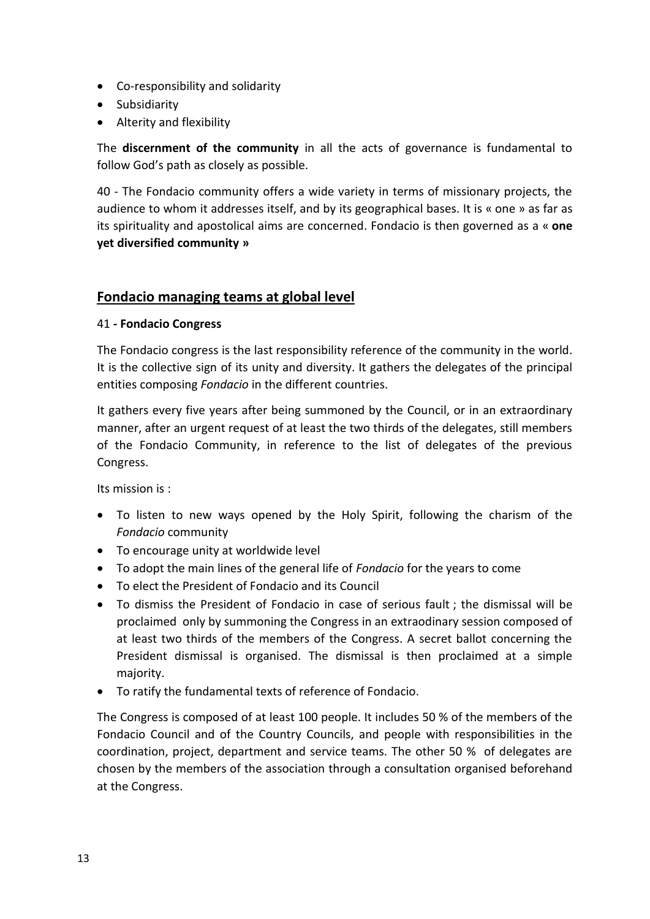- Co-responsibility and solidarity
- Subsidiarity
- Alterity and flexibility

The **discernment of the community** in all the acts of governance is fundamental to follow God's path as closely as possible.

40 - The Fondacio community offers a wide variety in terms of missionary projects, the audience to whom it addresses itself, and by its geographical bases. It is « one » as far as its spirituality and apostolical aims are concerned. Fondacio is then governed as a « **one yet diversified community »**

### **Fondacio managing teams at global level**

#### 41 **- Fondacio Congress**

The Fondacio congress is the last responsibility reference of the community in the world. It is the collective sign of its unity and diversity. It gathers the delegates of the principal entities composing *Fondacio* in the different countries.

It gathers every five years after being summoned by the Council, or in an extraordinary manner, after an urgent request of at least the two thirds of the delegates, still members of the Fondacio Community, in reference to the list of delegates of the previous Congress.

Its mission is :

- To listen to new ways opened by the Holy Spirit, following the charism of the *Fondacio* community
- To encourage unity at worldwide level
- To adopt the main lines of the general life of *Fondacio* for the years to come
- To elect the President of Fondacio and its Council
- To dismiss the President of Fondacio in case of serious fault ; the dismissal will be proclaimed only by summoning the Congress in an extraodinary session composed of at least two thirds of the members of the Congress. A secret ballot concerning the President dismissal is organised. The dismissal is then proclaimed at a simple majority.
- To ratify the fundamental texts of reference of Fondacio.

The Congress is composed of at least 100 people. It includes 50 % of the members of the Fondacio Council and of the Country Councils, and people with responsibilities in the coordination, project, department and service teams. The other 50 % of delegates are chosen by the members of the association through a consultation organised beforehand at the Congress.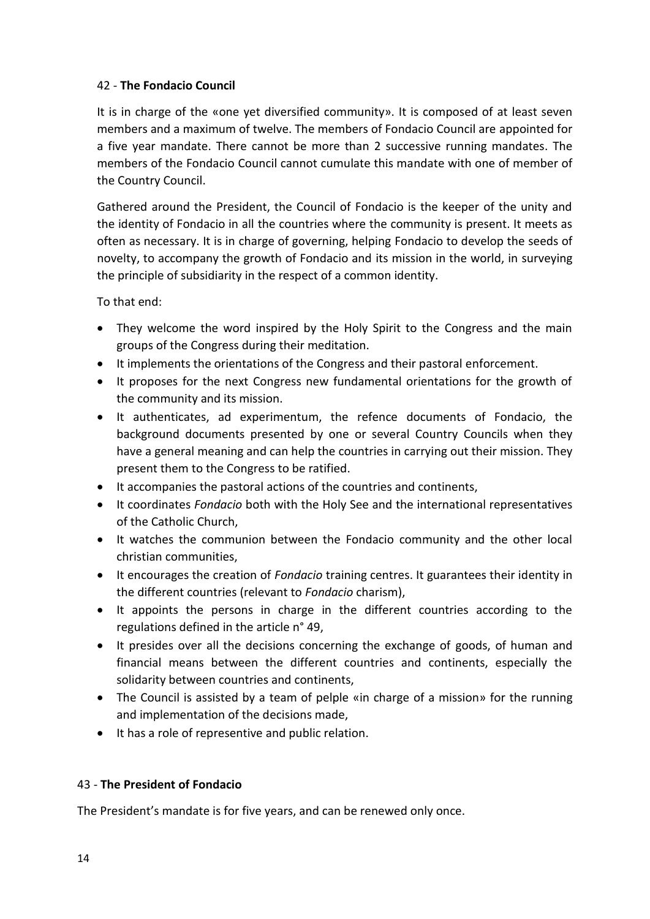#### 42 - **The Fondacio Council**

It is in charge of the «one yet diversified community». It is composed of at least seven members and a maximum of twelve. The members of Fondacio Council are appointed for a five year mandate. There cannot be more than 2 successive running mandates. The members of the Fondacio Council cannot cumulate this mandate with one of member of the Country Council.

Gathered around the President, the Council of Fondacio is the keeper of the unity and the identity of Fondacio in all the countries where the community is present. It meets as often as necessary. It is in charge of governing, helping Fondacio to develop the seeds of novelty, to accompany the growth of Fondacio and its mission in the world, in surveying the principle of subsidiarity in the respect of a common identity.

To that end:

- They welcome the word inspired by the Holy Spirit to the Congress and the main groups of the Congress during their meditation.
- It implements the orientations of the Congress and their pastoral enforcement.
- It proposes for the next Congress new fundamental orientations for the growth of the community and its mission.
- It authenticates, ad experimentum, the refence documents of Fondacio, the background documents presented by one or several Country Councils when they have a general meaning and can help the countries in carrying out their mission. They present them to the Congress to be ratified.
- It accompanies the pastoral actions of the countries and continents,
- It coordinates *Fondacio* both with the Holy See and the international representatives of the Catholic Church,
- It watches the communion between the Fondacio community and the other local christian communities,
- It encourages the creation of *Fondacio* training centres. It guarantees their identity in the different countries (relevant to *Fondacio* charism),
- It appoints the persons in charge in the different countries according to the regulations defined in the article n° 49,
- It presides over all the decisions concerning the exchange of goods, of human and financial means between the different countries and continents, especially the solidarity between countries and continents,
- The Council is assisted by a team of pelple «in charge of a mission» for the running and implementation of the decisions made,
- It has a role of representive and public relation.

### 43 - **The President of Fondacio**

The President's mandate is for five years, and can be renewed only once.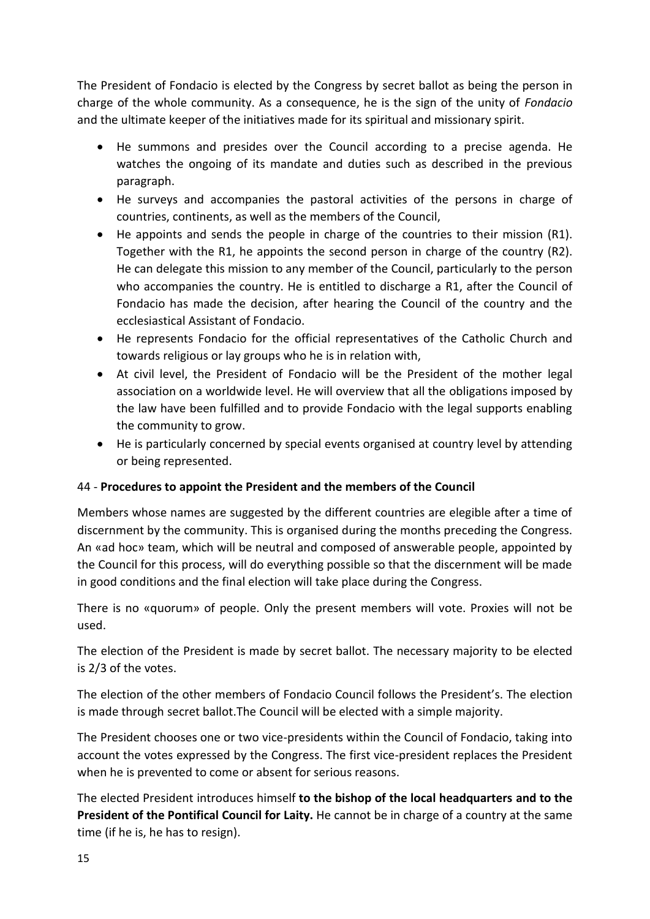The President of Fondacio is elected by the Congress by secret ballot as being the person in charge of the whole community. As a consequence, he is the sign of the unity of *Fondacio* and the ultimate keeper of the initiatives made for its spiritual and missionary spirit.

- He summons and presides over the Council according to a precise agenda. He watches the ongoing of its mandate and duties such as described in the previous paragraph.
- He surveys and accompanies the pastoral activities of the persons in charge of countries, continents, as well as the members of the Council,
- He appoints and sends the people in charge of the countries to their mission (R1). Together with the R1, he appoints the second person in charge of the country (R2). He can delegate this mission to any member of the Council, particularly to the person who accompanies the country. He is entitled to discharge a R1, after the Council of Fondacio has made the decision, after hearing the Council of the country and the ecclesiastical Assistant of Fondacio.
- He represents Fondacio for the official representatives of the Catholic Church and towards religious or lay groups who he is in relation with,
- At civil level, the President of Fondacio will be the President of the mother legal association on a worldwide level. He will overview that all the obligations imposed by the law have been fulfilled and to provide Fondacio with the legal supports enabling the community to grow.
- He is particularly concerned by special events organised at country level by attending or being represented.

### 44 - **Procedures to appoint the President and the members of the Council**

Members whose names are suggested by the different countries are elegible after a time of discernment by the community. This is organised during the months preceding the Congress. An «ad hoc» team, which will be neutral and composed of answerable people, appointed by the Council for this process, will do everything possible so that the discernment will be made in good conditions and the final election will take place during the Congress.

There is no «quorum» of people. Only the present members will vote. Proxies will not be used.

The election of the President is made by secret ballot. The necessary majority to be elected is 2/3 of the votes.

The election of the other members of Fondacio Council follows the President's. The election is made through secret ballot.The Council will be elected with a simple majority.

The President chooses one or two vice-presidents within the Council of Fondacio, taking into account the votes expressed by the Congress. The first vice-president replaces the President when he is prevented to come or absent for serious reasons.

The elected President introduces himself **to the bishop of the local headquarters and to the President of the Pontifical Council for Laity.** He cannot be in charge of a country at the same time (if he is, he has to resign).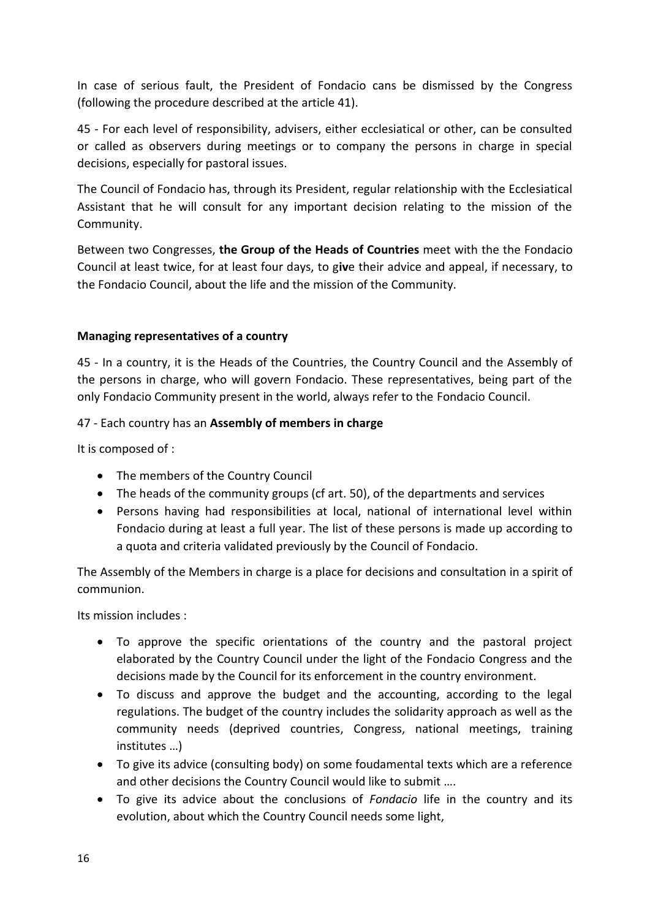In case of serious fault, the President of Fondacio cans be dismissed by the Congress (following the procedure described at the article 41).

45 - For each level of responsibility, advisers, either ecclesiatical or other, can be consulted or called as observers during meetings or to company the persons in charge in special decisions, especially for pastoral issues.

The Council of Fondacio has, through its President, regular relationship with the Ecclesiatical Assistant that he will consult for any important decision relating to the mission of the Community.

Between two Congresses, **the Group of the Heads of Countries** meet with the the Fondacio Council at least twice, for at least four days, to g**iv**e their advice and appeal, if necessary, to the Fondacio Council, about the life and the mission of the Community.

#### **Managing representatives of a country**

45 - In a country, it is the Heads of the Countries, the Country Council and the Assembly of the persons in charge, who will govern Fondacio. These representatives, being part of the only Fondacio Community present in the world, always refer to the Fondacio Council.

#### 47 - Each country has an **Assembly of members in charge**

It is composed of :

- The members of the Country Council
- The heads of the community groups (cf art. 50), of the departments and services
- Persons having had responsibilities at local, national of international level within Fondacio during at least a full year. The list of these persons is made up according to a quota and criteria validated previously by the Council of Fondacio.

The Assembly of the Members in charge is a place for decisions and consultation in a spirit of communion.

Its mission includes :

- To approve the specific orientations of the country and the pastoral project elaborated by the Country Council under the light of the Fondacio Congress and the decisions made by the Council for its enforcement in the country environment.
- To discuss and approve the budget and the accounting, according to the legal regulations. The budget of the country includes the solidarity approach as well as the community needs (deprived countries, Congress, national meetings, training institutes …)
- To give its advice (consulting body) on some foudamental texts which are a reference and other decisions the Country Council would like to submit ….
- To give its advice about the conclusions of *Fondacio* life in the country and its evolution, about which the Country Council needs some light,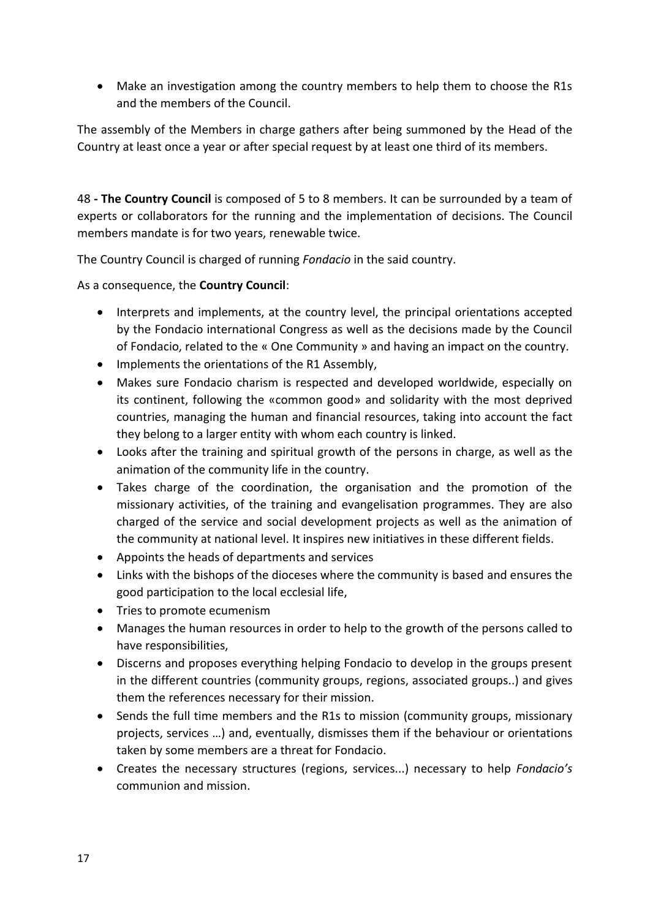• Make an investigation among the country members to help them to choose the R1s and the members of the Council.

The assembly of the Members in charge gathers after being summoned by the Head of the Country at least once a year or after special request by at least one third of its members.

48 **- The Country Council** is composed of 5 to 8 members. It can be surrounded by a team of experts or collaborators for the running and the implementation of decisions. The Council members mandate is for two years, renewable twice.

The Country Council is charged of running *Fondacio* in the said country.

As a consequence, the **Country Council**:

- Interprets and implements, at the country level, the principal orientations accepted by the Fondacio international Congress as well as the decisions made by the Council of Fondacio, related to the « One Community » and having an impact on the country.
- Implements the orientations of the R1 Assembly,
- Makes sure Fondacio charism is respected and developed worldwide, especially on its continent, following the «common good» and solidarity with the most deprived countries, managing the human and financial resources, taking into account the fact they belong to a larger entity with whom each country is linked.
- Looks after the training and spiritual growth of the persons in charge, as well as the animation of the community life in the country.
- Takes charge of the coordination, the organisation and the promotion of the missionary activities, of the training and evangelisation programmes. They are also charged of the service and social development projects as well as the animation of the community at national level. It inspires new initiatives in these different fields.
- Appoints the heads of departments and services
- Links with the bishops of the dioceses where the community is based and ensures the good participation to the local ecclesial life,
- Tries to promote ecumenism
- Manages the human resources in order to help to the growth of the persons called to have responsibilities,
- Discerns and proposes everything helping Fondacio to develop in the groups present in the different countries (community groups, regions, associated groups..) and gives them the references necessary for their mission.
- Sends the full time members and the R1s to mission (community groups, missionary projects, services …) and, eventually, dismisses them if the behaviour or orientations taken by some members are a threat for Fondacio.
- Creates the necessary structures (regions, services...) necessary to help *Fondacio's* communion and mission.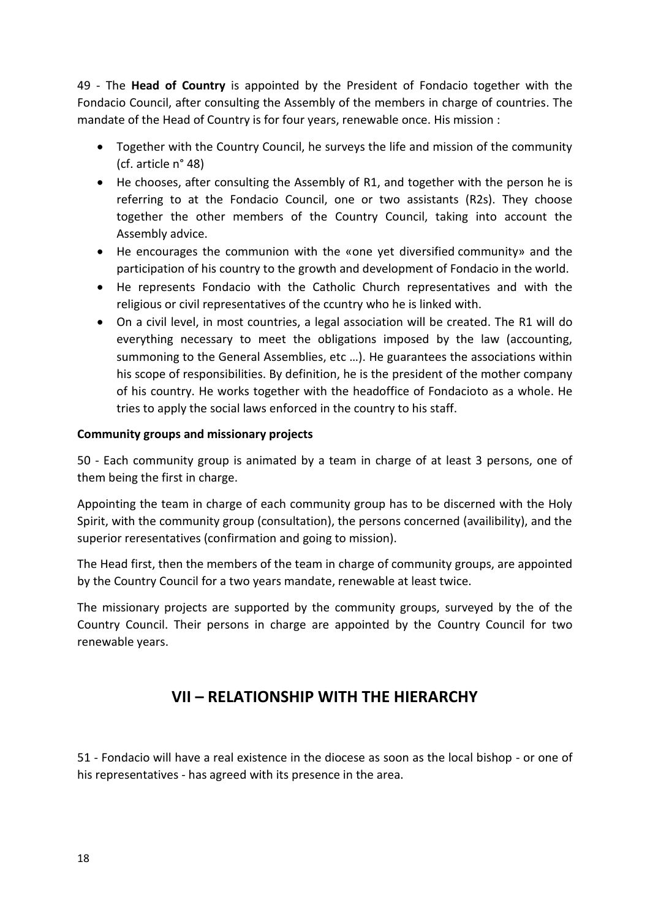49 - The **Head of Country** is appointed by the President of Fondacio together with the Fondacio Council, after consulting the Assembly of the members in charge of countries. The mandate of the Head of Country is for four years, renewable once. His mission :

- Together with the Country Council, he surveys the life and mission of the community (cf. article n° 48)
- He chooses, after consulting the Assembly of R1, and together with the person he is referring to at the Fondacio Council, one or two assistants (R2s). They choose together the other members of the Country Council, taking into account the Assembly advice.
- He encourages the communion with the «one yet diversified community» and the participation of his country to the growth and development of Fondacio in the world.
- He represents Fondacio with the Catholic Church representatives and with the religious or civil representatives of the ccuntry who he is linked with.
- On a civil level, in most countries, a legal association will be created. The R1 will do everything necessary to meet the obligations imposed by the law (accounting, summoning to the General Assemblies, etc …). He guarantees the associations within his scope of responsibilities. By definition, he is the president of the mother company of his country. He works together with the headoffice of Fondacioto as a whole. He tries to apply the social laws enforced in the country to his staff.

#### **Community groups and missionary projects**

50 - Each community group is animated by a team in charge of at least 3 persons, one of them being the first in charge.

Appointing the team in charge of each community group has to be discerned with the Holy Spirit, with the community group (consultation), the persons concerned (availibility), and the superior reresentatives (confirmation and going to mission).

The Head first, then the members of the team in charge of community groups, are appointed by the Country Council for a two years mandate, renewable at least twice.

The missionary projects are supported by the community groups, surveyed by the of the Country Council. Their persons in charge are appointed by the Country Council for two renewable years.

# **VII – RELATIONSHIP WITH THE HIERARCHY**

51 - Fondacio will have a real existence in the diocese as soon as the local bishop - or one of his representatives - has agreed with its presence in the area.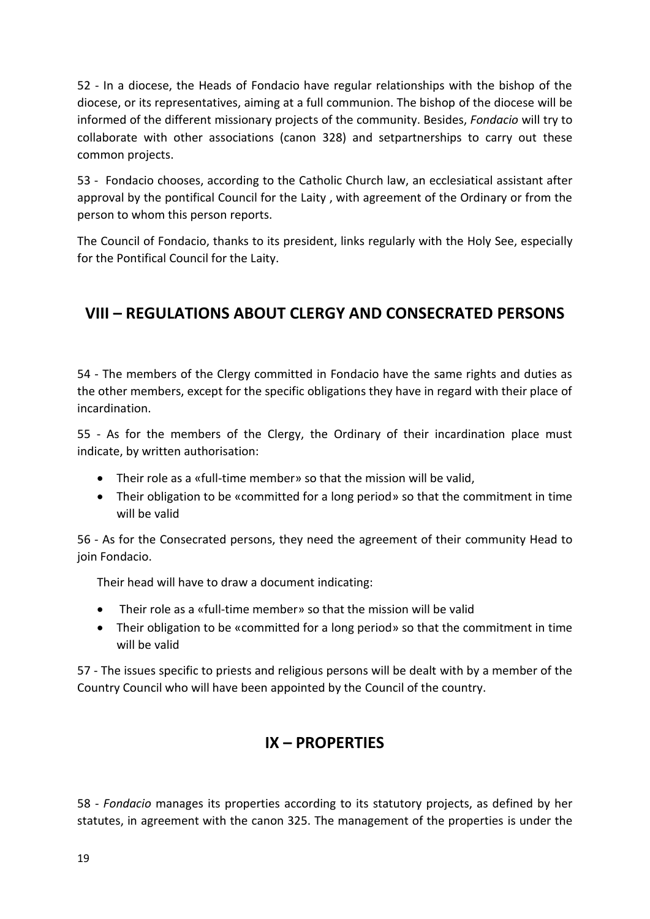52 - In a diocese, the Heads of Fondacio have regular relationships with the bishop of the diocese, or its representatives, aiming at a full communion. The bishop of the diocese will be informed of the different missionary projects of the community. Besides, *Fondacio* will try to collaborate with other associations (canon 328) and setpartnerships to carry out these common projects.

53 - Fondacio chooses, according to the Catholic Church law, an ecclesiatical assistant after approval by the pontifical Council for the Laity , with agreement of the Ordinary or from the person to whom this person reports.

The Council of Fondacio, thanks to its president, links regularly with the Holy See, especially for the Pontifical Council for the Laity.

# **VIII – REGULATIONS ABOUT CLERGY AND CONSECRATED PERSONS**

54 - The members of the Clergy committed in Fondacio have the same rights and duties as the other members, except for the specific obligations they have in regard with their place of incardination.

55 - As for the members of the Clergy, the Ordinary of their incardination place must indicate, by written authorisation:

- Their role as a «full-time member» so that the mission will be valid,
- Their obligation to be «committed for a long period» so that the commitment in time will be valid

56 - As for the Consecrated persons, they need the agreement of their community Head to join Fondacio.

Their head will have to draw a document indicating:

- Their role as a «full-time member» so that the mission will be valid
- Their obligation to be «committed for a long period» so that the commitment in time will be valid

57 - The issues specific to priests and religious persons will be dealt with by a member of the Country Council who will have been appointed by the Council of the country.

# **IX – PROPERTIES**

58 - *Fondacio* manages its properties according to its statutory projects, as defined by her statutes, in agreement with the canon 325. The management of the properties is under the